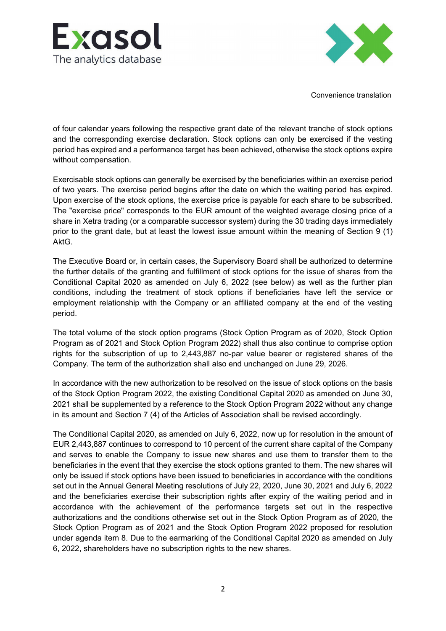



Convenience translation

of four calendar years following the respective grant date of the relevant tranche of stock options and the corresponding exercise declaration. Stock options can only be exercised if the vesting period has expired and a performance target has been achieved, otherwise the stock options expire without compensation.

Exercisable stock options can generally be exercised by the beneficiaries within an exercise period of two years. The exercise period begins after the date on which the waiting period has expired. Upon exercise of the stock options, the exercise price is payable for each share to be subscribed. The "exercise price" corresponds to the EUR amount of the weighted average closing price of a share in Xetra trading (or a comparable successor system) during the 30 trading days immediately prior to the grant date, but at least the lowest issue amount within the meaning of Section 9 (1) AktG.

The Executive Board or, in certain cases, the Supervisory Board shall be authorized to determine the further details of the granting and fulfillment of stock options for the issue of shares from the Conditional Capital 2020 as amended on July 6, 2022 (see below) as well as the further plan conditions, including the treatment of stock options if beneficiaries have left the service or employment relationship with the Company or an affiliated company at the end of the vesting period.

The total volume of the stock option programs (Stock Option Program as of 2020, Stock Option Program as of 2021 and Stock Option Program 2022) shall thus also continue to comprise option rights for the subscription of up to 2,443,887 no-par value bearer or registered shares of the Company. The term of the authorization shall also end unchanged on June 29, 2026.

In accordance with the new authorization to be resolved on the issue of stock options on the basis of the Stock Option Program 2022, the existing Conditional Capital 2020 as amended on June 30, 2021 shall be supplemented by a reference to the Stock Option Program 2022 without any change in its amount and Section 7 (4) of the Articles of Association shall be revised accordingly.

The Conditional Capital 2020, as amended on July 6, 2022, now up for resolution in the amount of EUR 2,443,887 continues to correspond to 10 percent of the current share capital of the Company and serves to enable the Company to issue new shares and use them to transfer them to the beneficiaries in the event that they exercise the stock options granted to them. The new shares will only be issued if stock options have been issued to beneficiaries in accordance with the conditions set out in the Annual General Meeting resolutions of July 22, 2020, June 30, 2021 and July 6, 2022 and the beneficiaries exercise their subscription rights after expiry of the waiting period and in accordance with the achievement of the performance targets set out in the respective authorizations and the conditions otherwise set out in the Stock Option Program as of 2020, the Stock Option Program as of 2021 and the Stock Option Program 2022 proposed for resolution under agenda item 8. Due to the earmarking of the Conditional Capital 2020 as amended on July 6, 2022, shareholders have no subscription rights to the new shares.